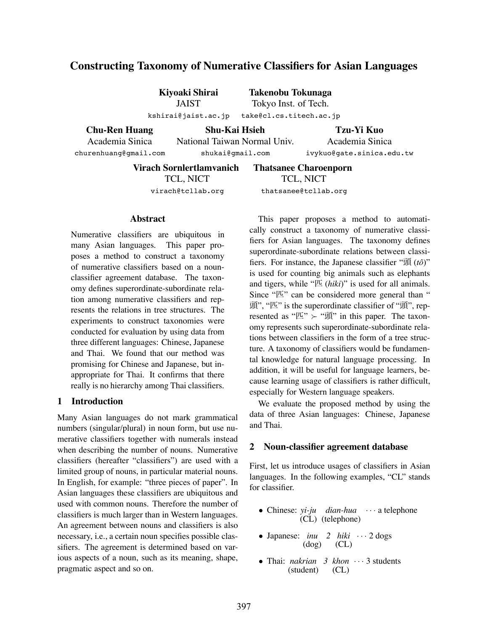# **Constructing Taxonomy of Numerative Classifiers for Asian Languages**

**Kiyoaki Shirai** JAIST kshirai@jaist.ac.jp

**Takenobu Tokunaga** Tokyo Inst. of Tech. take@cl.cs.titech.ac.jp

**Chu-Ren Huang** Academia Sinica churenhuang@gmail.com

**Shu-Kai Hsieh** National Taiwan Normal Univ.

shukai@gmail.com

**Tzu-Yi Kuo** Academia Sinica ivykuo@gate.sinica.edu.tw

**Virach Sornlertlamvanich** TCL, NICT virach@tcllab.org

**Thatsanee Charoenporn** TCL, NICT thatsanee@tcllab.org

### **Abstract**

Numerative classifiers are ubiquitous in many Asian languages. This paper proposes a method to construct a taxonomy of numerative classifiers based on a nounclassifier agreement database. The taxonomy defines superordinate-subordinate relation among numerative classifiers and represents the relations in tree structures. The experiments to construct taxonomies were conducted for evaluation by using data from three different languages: Chinese, Japanese and Thai. We found that our method was promising for Chinese and Japanese, but inappropriate for Thai. It confirms that there really is no hierarchy among Thai classifiers.

#### **1 Introduction**

Many Asian languages do not mark grammatical numbers (singular/plural) in noun form, but use numerative classifiers together with numerals instead when describing the number of nouns. Numerative classifiers (hereafter "classifiers") are used with a limited group of nouns, in particular material nouns. In English, for example: "three pieces of paper". In Asian languages these classifiers are ubiquitous and used with common nouns. Therefore the number of classifiers is much larger than in Western languages. An agreement between nouns and classifiers is also necessary, i.e., a certain noun specifies possible classifiers. The agreement is determined based on various aspects of a noun, such as its meaning, shape, pragmatic aspect and so on.

This paper proposes a method to automatically construct a taxonomy of numerative classifiers for Asian languages. The taxonomy defines superordinate-subordinate relations between classifiers. For instance, the Japanese classifier "頭 (*toˆ*)" is used for counting big animals such as elephants and tigers, while "匹 (*hiki*)" is used for all animals. Since "匹" can be considered more general than " 頭", "匹" is the superordinate classifier of "頭", represented as " $\mathbb{Z}$ "  $\succ$  "頭" in this paper. The taxonomy represents such superordinate-subordinate relations between classifiers in the form of a tree structure. A taxonomy of classifiers would be fundamental knowledge for natural language processing. In addition, it will be useful for language learners, because learning usage of classifiers is rather difficult, especially for Western language speakers.

We evaluate the proposed method by using the data of three Asian languages: Chinese, Japanese and Thai.

### **2 Noun-classifier agreement database**

First, let us introduce usages of classifiers in Asian languages. In the following examples, "CL" stands for classifier.

- Chinese: *yi-ju dian-hua* ··· a telephone (CL) (telephone) (CL) (telephone)
- Japanese: *inu* 2 *hiki* ··· 2 dogs (dog) (CL) (dog)
- Thai: *nakrian* 3 khon ··· 3 students (student) (CL) (student)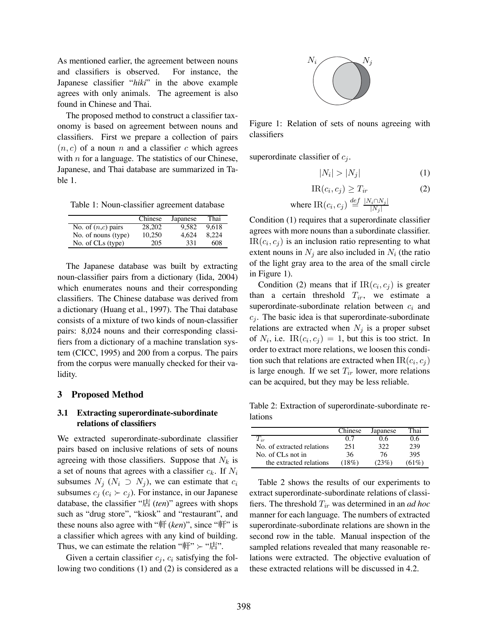As mentioned earlier, the agreement between nouns and classifiers is observed. For instance, the Japanese classifier "*hiki*" in the above example agrees with only animals. The agreement is also found in Chinese and Thai.

The proposed method to construct a classifier taxonomy is based on agreement between nouns and classifiers. First we prepare a collection of pairs  $(n, c)$  of a noun n and a classifier c which agrees with  $n$  for a language. The statistics of our Chinese, Japanese, and Thai database are summarized in Table 1.

Table 1: Noun-classifier agreement database

|                      | Chinese | Japanese | Thai  |
|----------------------|---------|----------|-------|
| No. of $(n,c)$ pairs | 28,202  | 9.582    | 9.618 |
| No. of nouns (type)  | 10.250  | 4.624    | 8.224 |
| No. of CLs (type)    | 205     | 331      | 608   |

The Japanese database was built by extracting noun-classifier pairs from a dictionary (Iida, 2004) which enumerates nouns and their corresponding classifiers. The Chinese database was derived from a dictionary (Huang et al., 1997). The Thai database consists of a mixture of two kinds of noun-classifier pairs: 8,024 nouns and their corresponding classifiers from a dictionary of a machine translation system (CICC, 1995) and 200 from a corpus. The pairs from the corpus were manually checked for their validity.

#### **3 Proposed Method**

### **3.1 Extracting superordinate-subordinate relations of classifiers**

We extracted superordinate-subordinate classifier pairs based on inclusive relations of sets of nouns agreeing with those classifiers. Suppose that  $N_k$  is a set of nouns that agrees with a classifier c*k*. If N*<sup>i</sup>* subsumes  $N_j$  ( $N_i \supset N_j$ ), we can estimate that  $c_i$ subsumes  $c_j$  ( $c_i \succ c_j$ ). For instance, in our Japanese database, the classifier "店 (*ten*)" agrees with shops such as "drug store", "kiosk" and "restaurant", and these nouns also agree with "軒 (*ken*)", since "軒" is a classifier which agrees with any kind of building. Thus, we can estimate the relation " $\mathbb{F}$ "  $\succ$  " $\mathbb{E}$ ".

Given a certain classifier  $c_j$ ,  $c_i$  satisfying the following two conditions (1) and (2) is considered as a



Figure 1: Relation of sets of nouns agreeing with classifiers

superordinate classifier of  $c_j$ .

$$
|N_i| > |N_j| \tag{1}
$$

$$
IR(c_i, c_j) \ge T_{ir} \tag{2}
$$

where IR
$$
(c_i, c_j) \stackrel{def}{=} \frac{|N_i \cap N_j|}{|N_j|}
$$

Condition (1) requires that a superordinate classifier agrees with more nouns than a subordinate classifier.  $IR(c_i, c_j)$  is an inclusion ratio representing to what extent nouns in  $N_j$  are also included in  $N_i$  (the ratio of the light gray area to the area of the small circle in Figure 1).

Condition (2) means that if  $IR(c_i, c_j)$  is greater than a certain threshold  $T_{ir}$ , we estimate a superordinate-subordinate relation between c*<sup>i</sup>* and  $c_j$ . The basic idea is that superordinate-subordinate relations are extracted when  $N_j$  is a proper subset of  $N_i$ , i.e.  $IR(c_i, c_j) = 1$ , but this is too strict. In order to extract more relations, we loosen this condition such that relations are extracted when  $IR(c_i, c_i)$ is large enough. If we set  $T_{ir}$  lower, more relations can be acquired, but they may be less reliable.

Table 2: Extraction of superordinate-subordinate relations

|                            | Chinese  | Japanese | `hai. |
|----------------------------|----------|----------|-------|
| $\Gamma_{ir}$              | 07       | ) 6      | 16    |
| No. of extracted relations | 251      | 322      | 239   |
| No. of CLs not in          | 36       | 76       | 395   |
| the extracted relations    | $(18\%)$ | (23%)    | (61%) |

Table 2 shows the results of our experiments to extract superordinate-subordinate relations of classifiers. The threshold T*ir* was determined in an *ad hoc* manner for each language. The numbers of extracted superordinate-subordinate relations are shown in the second row in the table. Manual inspection of the sampled relations revealed that many reasonable relations were extracted. The objective evaluation of these extracted relations will be discussed in 4.2.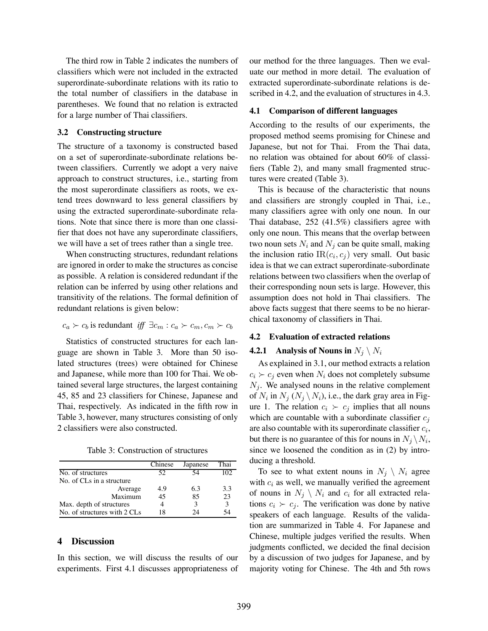The third row in Table 2 indicates the numbers of classifiers which were not included in the extracted superordinate-subordinate relations with its ratio to the total number of classifiers in the database in parentheses. We found that no relation is extracted for a large number of Thai classifiers.

#### **3.2 Constructing structure**

The structure of a taxonomy is constructed based on a set of superordinate-subordinate relations between classifiers. Currently we adopt a very naive approach to construct structures, i.e., starting from the most superordinate classifiers as roots, we extend trees downward to less general classifiers by using the extracted superordinate-subordinate relations. Note that since there is more than one classifier that does not have any superordinate classifiers, we will have a set of trees rather than a single tree.

When constructing structures, redundant relations are ignored in order to make the structures as concise as possible. A relation is considered redundant if the relation can be inferred by using other relations and transitivity of the relations. The formal definition of redundant relations is given below:

$$
c_a \succ c_b
$$
 is redundant iff  $\exists c_m : c_a \succ c_m, c_m \succ c_b$ 

Statistics of constructed structures for each language are shown in Table 3. More than 50 isolated structures (trees) were obtained for Chinese and Japanese, while more than 100 for Thai. We obtained several large structures, the largest containing 45, 85 and 23 classifiers for Chinese, Japanese and Thai, respectively. As indicated in the fifth row in Table 3, however, many structures consisting of only 2 classifiers were also constructed.

Table 3: Construction of structures

|                              | Chinese | Japanese | Thai |
|------------------------------|---------|----------|------|
| No. of structures            | 52      |          | 102  |
| No. of CLs in a structure    |         |          |      |
| Average                      | 4.9     | 6.3      | 3.3  |
| Maximum                      | 45      | 85       | 23   |
| Max. depth of structures     |         | 3        |      |
| No. of structures with 2 CLs | 18      | 24       |      |

#### **4 Discussion**

In this section, we will discuss the results of our experiments. First 4.1 discusses appropriateness of our method for the three languages. Then we evaluate our method in more detail. The evaluation of extracted superordinate-subordinate relations is described in 4.2, and the evaluation of structures in 4.3.

#### **4.1 Comparison of different languages**

According to the results of our experiments, the proposed method seems promising for Chinese and Japanese, but not for Thai. From the Thai data, no relation was obtained for about 60% of classifiers (Table 2), and many small fragmented structures were created (Table 3).

This is because of the characteristic that nouns and classifiers are strongly coupled in Thai, i.e., many classifiers agree with only one noun. In our Thai database, 252 (41.5%) classifiers agree with only one noun. This means that the overlap between two noun sets  $N_i$  and  $N_j$  can be quite small, making the inclusion ratio  $IR(c_i, c_j)$  very small. Out basic idea is that we can extract superordinate-subordinate relations between two classifiers when the overlap of their corresponding noun sets is large. However, this assumption does not hold in Thai classifiers. The above facts suggest that there seems to be no hierarchical taxonomy of classifiers in Thai.

#### **4.2 Evaluation of extracted relations**

### **4.2.1** Analysis of Nouns in  $N_j \setminus N_i$

As explained in 3.1, our method extracts a relation  $c_i \succ c_j$  even when  $N_i$  does not completely subsume  $N_i$ . We analysed nouns in the relative complement of  $N_i$  in  $N_j$  ( $N_j \setminus N_i$ ), i.e., the dark gray area in Figure 1. The relation  $c_i \succ c_j$  implies that all nouns which are countable with a subordinate classifier c*<sup>j</sup>* are also countable with its superordinate classifier c*i*, but there is no guarantee of this for nouns in  $N_j \backslash N_i$ , since we loosened the condition as in (2) by introducing a threshold.

To see to what extent nouns in  $N_j \setminus N_i$  agree with  $c_i$  as well, we manually verified the agreement of nouns in  $N_j \setminus N_i$  and  $c_i$  for all extracted relations  $c_i \succ c_j$ . The verification was done by native speakers of each language. Results of the validation are summarized in Table 4. For Japanese and Chinese, multiple judges verified the results. When judgments conflicted, we decided the final decision by a discussion of two judges for Japanese, and by majority voting for Chinese. The 4th and 5th rows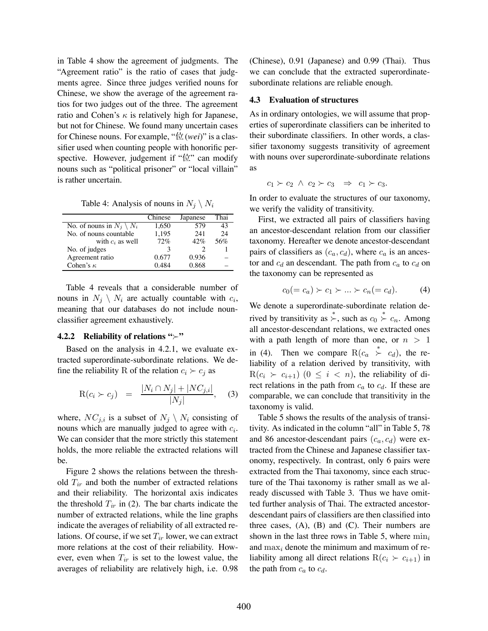in Table 4 show the agreement of judgments. The "Agreement ratio" is the ratio of cases that judgments agree. Since three judges verified nouns for Chinese, we show the average of the agreement ratios for two judges out of the three. The agreement ratio and Cohen's  $\kappa$  is relatively high for Japanese, but not for Chinese. We found many uncertain cases for Chinese nouns. For example, "位(*wei*)" is a classifier used when counting people with honorific perspective. However, judgement if " $\&$ " can modify nouns such as "political prisoner" or "local villain" is rather uncertain.

Table 4: Analysis of nouns in  $N_j \setminus N_i$ 

|                                     | Chinese       | Japanese | Thai |
|-------------------------------------|---------------|----------|------|
| No. of nouns in $N_i \setminus N_i$ | 1.650         | 579      | 43   |
| No. of nouns countable              | 1,195         | 241      | 24   |
| with $c_i$ as well                  | 72%           | 42%      | 56%  |
| No. of judges                       | $\mathcal{L}$ |          |      |
| Agreement ratio                     | 0.677         | 0.936    |      |
| Cohen's $\kappa$                    | 0.484         | 0.868    |      |

Table 4 reveals that a considerable number of nouns in  $N_j \setminus N_i$  are actually countable with  $c_i$ , meaning that our databases do not include nounclassifier agreement exhaustively.

#### **4.2.2** Reliability of relations " $\succ$ "

Based on the analysis in 4.2.1, we evaluate extracted superordinate-subordinate relations. We define the reliability R of the relation  $c_i \succ c_j$  as

$$
R(c_i \succ c_j) = \frac{|N_i \cap N_j| + |NC_{j,i}|}{|N_j|}, \quad (3)
$$

where,  $NC_{j,i}$  is a subset of  $N_j \setminus N_i$  consisting of nouns which are manually judged to agree with c*i*. We can consider that the more strictly this statement holds, the more reliable the extracted relations will be.

Figure 2 shows the relations between the threshold T*ir* and both the number of extracted relations and their reliability. The horizontal axis indicates the threshold  $T_{ir}$  in (2). The bar charts indicate the number of extracted relations, while the line graphs indicate the averages of reliability of all extracted relations. Of course, if we set  $T_{ir}$  lower, we can extract more relations at the cost of their reliability. However, even when  $T_{ir}$  is set to the lowest value, the averages of reliability are relatively high, i.e. 0.98

(Chinese), 0.91 (Japanese) and 0.99 (Thai). Thus we can conclude that the extracted superordinatesubordinate relations are reliable enough.

#### **4.3 Evaluation of structures**

As in ordinary ontologies, we will assume that properties of superordinate classifiers can be inherited to their subordinate classifiers. In other words, a classifier taxonomy suggests transitivity of agreement with nouns over superordinate-subordinate relations as

 $c_1 \succ c_2 \land c_2 \succ c_3 \Rightarrow c_1 \succ c_3.$ 

In order to evaluate the structures of our taxonomy, we verify the validity of transitivity.

First, we extracted all pairs of classifiers having an ancestor-descendant relation from our classifier taxonomy. Hereafter we denote ancestor-descendant pairs of classifiers as  $(c_a, c_d)$ , where  $c_a$  is an ancestor and  $c_d$  an descendant. The path from  $c_a$  to  $c_d$  on the taxonomy can be represented as

$$
c_0(=c_a) \succ c_1 \succ \dots \succ c_n(=c_d). \tag{4}
$$

We denote a superordinate-subordinate relation derived by transitivity as  $\stackrel{*}{\succ}$ , such as  $c_0 \stackrel{*}{\succ} c_n$ . Among all ancestor-descendant relations, we extracted ones with a path length of more than one, or  $n > 1$ in (4). Then we compare  $R(c_a \stackrel{*}{\succ} c_d)$ , the reliability of a relation derived by transitivity, with  $R(c_i \succ c_{i+1})$   $(0 \leq i < n)$ , the reliability of direct relations in the path from  $c_a$  to  $c_d$ . If these are comparable, we can conclude that transitivity in the taxonomy is valid.

Table 5 shows the results of the analysis of transitivity. As indicated in the column "all" in Table 5, 78 and 86 ancestor-descendant pairs  $(c_a, c_d)$  were extracted from the Chinese and Japanese classifier taxonomy, respectively. In contrast, only 6 pairs were extracted from the Thai taxonomy, since each structure of the Thai taxonomy is rather small as we already discussed with Table 3. Thus we have omitted further analysis of Thai. The extracted ancestordescendant pairs of classifiers are then classified into three cases,  $(A)$ ,  $(B)$  and  $(C)$ . Their numbers are shown in the last three rows in Table 5, where min*<sup>i</sup>* and max*<sup>i</sup>* denote the minimum and maximum of reliability among all direct relations  $R(c_i \succ c_{i+1})$  in the path from  $c_a$  to  $c_d$ .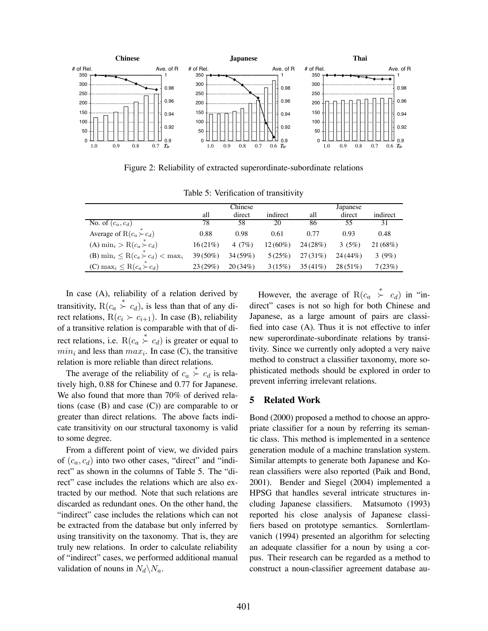

Figure 2: Reliability of extracted superordinate-subordinate relations

|                                                  | Chinese    |          | Japanese   |            |            |          |
|--------------------------------------------------|------------|----------|------------|------------|------------|----------|
|                                                  | all        | direct   | indirect   | all        | direct     | indirect |
| $\overline{\text{No}}$ . of $(c_a, c_d)$         | 78         | 58       | 20         | 86         | 55         | 31       |
| Average of R $(c_a \succ c_d)$                   | 0.88       | 0.98     | 0.61       | 0.77       | 0.93       | 0.48     |
| (A) min <sub>i</sub> > R( $c_a$ $\succ$ $c_d$ )  | 16(21%)    | 4 $(7%)$ | $12(60\%)$ | 24(28%)    | 3(5%)      | 21(68%)  |
| (B) $\min_i \leq R(c_a \succ c_d) < \max_i$      | $39(50\%)$ | 34(59%)  | 5(25%)     | 27(31%)    | $24(44\%)$ | 3(9%)    |
| (C) max <sub>i</sub> $\leq$ R( $c_a \succ c_d$ ) | 23(29%)    | 20(34%)  | 3(15%)     | $35(41\%)$ | $28(51\%)$ | 7(23%)   |

Table 5: Verification of transitivity

In case (A), reliability of a relation derived by transitivity,  $R(c_a \overset{*}{\succ} c_d)$ , is less than that of any direct relations,  $R(c_i \succ c_{i+1})$ . In case (B), reliability of a transitive relation is comparable with that of direct relations, i.e.  $R(c_a \overset{*}{\succ} c_d)$  is greater or equal to  $min_i$  and less than  $max_i$ . In case (C), the transitive relation is more reliable than direct relations.

The average of the reliability of  $c_a \overset{*}{\succ} c_d$  is relatively high, 0.88 for Chinese and 0.77 for Japanese. We also found that more than 70% of derived relations (case  $(B)$  and case  $(C)$ ) are comparable to or greater than direct relations. The above facts indicate transitivity on our structural taxonomy is valid to some degree.

From a different point of view, we divided pairs of (c*a*, c*d*) into two other cases, "direct" and "indirect" as shown in the columns of Table 5. The "direct" case includes the relations which are also extracted by our method. Note that such relations are discarded as redundant ones. On the other hand, the "indirect" case includes the relations which can not be extracted from the database but only inferred by using transitivity on the taxonomy. That is, they are truly new relations. In order to calculate reliability of "indirect" cases, we performed additional manual validation of nouns in  $N_d \backslash N_a$ .

However, the average of  $R(c_a \stackrel{*}{\succ} c_d)$  in "indirect" cases is not so high for both Chinese and Japanese, as a large amount of pairs are classified into case (A). Thus it is not effective to infer new superordinate-subordinate relations by transitivity. Since we currently only adopted a very naive method to construct a classifier taxonomy, more sophisticated methods should be explored in order to prevent inferring irrelevant relations.

#### **5 Related Work**

Bond (2000) proposed a method to choose an appropriate classifier for a noun by referring its semantic class. This method is implemented in a sentence generation module of a machine translation system. Similar attempts to generate both Japanese and Korean classifiers were also reported (Paik and Bond, 2001). Bender and Siegel (2004) implemented a HPSG that handles several intricate structures including Japanese classifiers. Matsumoto (1993) reported his close analysis of Japanese classifiers based on prototype semantics. Sornlertlamvanich (1994) presented an algorithm for selecting an adequate classifier for a noun by using a corpus. Their research can be regarded as a method to construct a noun-classifier agreement database au